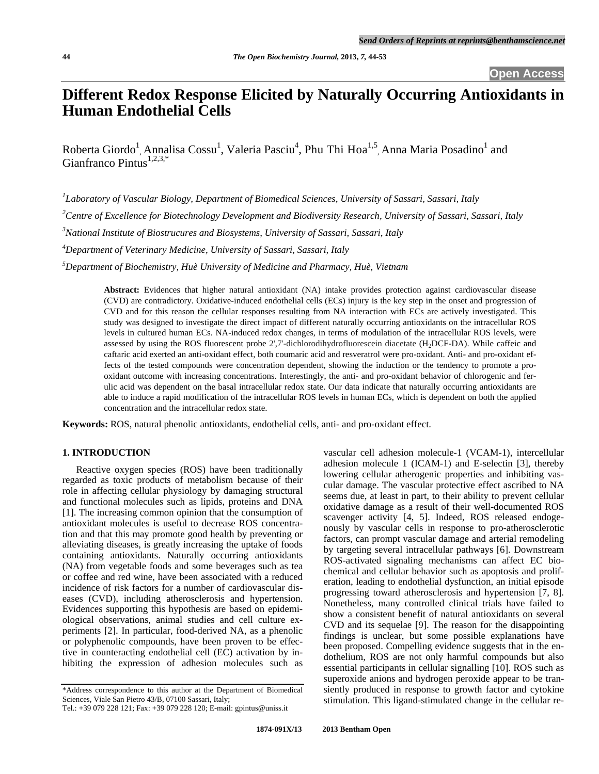# **Different Redox Response Elicited by Naturally Occurring Antioxidants in Human Endothelial Cells**

Roberta Giordo<sup>1</sup>, Annalisa Cossu<sup>1</sup>, Valeria Pasciu<sup>4</sup>, Phu Thi Hoa<sup>1,5</sup>, Anna Maria Posadino<sup>1</sup> and Gianfranco Pintus $^{1,2,3,*}$ 

*1 Laboratory of Vascular Biology, Department of Biomedical Sciences, University of Sassari, Sassari, Italy* 

*2 Centre of Excellence for Biotechnology Development and Biodiversity Research, University of Sassari, Sassari, Italy* 

*3 National Institute of Biostrucures and Biosystems, University of Sassari, Sassari, Italy* 

*4 Department of Veterinary Medicine, University of Sassari, Sassari, Italy* 

*5 Department of Biochemistry, Huè University of Medicine and Pharmacy, Huè, Vietnam* 

**Abstract:** Evidences that higher natural antioxidant (NA) intake provides protection against cardiovascular disease (CVD) are contradictory. Oxidative-induced endothelial cells (ECs) injury is the key step in the onset and progression of CVD and for this reason the cellular responses resulting from NA interaction with ECs are actively investigated. This study was designed to investigate the direct impact of different naturally occurring antioxidants on the intracellular ROS levels in cultured human ECs. NA-induced redox changes, in terms of modulation of the intracellular ROS levels, were assessed by using the ROS fluorescent probe 2',7'-dichlorodihydrofluorescein diacetate (H2DCF-DA). While caffeic and caftaric acid exerted an anti-oxidant effect, both coumaric acid and resveratrol were pro-oxidant. Anti- and pro-oxidant effects of the tested compounds were concentration dependent, showing the induction or the tendency to promote a prooxidant outcome with increasing concentrations. Interestingly, the anti- and pro-oxidant behavior of chlorogenic and ferulic acid was dependent on the basal intracellular redox state. Our data indicate that naturally occurring antioxidants are able to induce a rapid modification of the intracellular ROS levels in human ECs, which is dependent on both the applied concentration and the intracellular redox state.

**Keywords:** ROS, natural phenolic antioxidants, endothelial cells, anti- and pro-oxidant effect.

# **1. INTRODUCTION**

 Reactive oxygen species (ROS) have been traditionally regarded as toxic products of metabolism because of their role in affecting cellular physiology by damaging structural and functional molecules such as lipids, proteins and DNA [1]. The increasing common opinion that the consumption of antioxidant molecules is useful to decrease ROS concentration and that this may promote good health by preventing or alleviating diseases, is greatly increasing the uptake of foods containing antioxidants. Naturally occurring antioxidants (NA) from vegetable foods and some beverages such as tea or coffee and red wine, have been associated with a reduced incidence of risk factors for a number of cardiovascular diseases (CVD), including atherosclerosis and hypertension. Evidences supporting this hypothesis are based on epidemiological observations, animal studies and cell culture experiments [2]. In particular, food-derived NA, as a phenolic or polyphenolic compounds, have been proven to be effective in counteracting endothelial cell (EC) activation by inhibiting the expression of adhesion molecules such as

\*Address correspondence to this author at the Department of Biomedical Sciences, Viale San Pietro 43/B, 07100 Sassari, Italy;

vascular cell adhesion molecule-1 (VCAM-1), intercellular adhesion molecule 1 (ICAM-1) and E-selectin [3], thereby lowering cellular atherogenic properties and inhibiting vascular damage. The vascular protective effect ascribed to NA seems due, at least in part, to their ability to prevent cellular oxidative damage as a result of their well-documented ROS scavenger activity [4, 5]. Indeed, ROS released endogenously by vascular cells in response to pro-atherosclerotic factors, can prompt vascular damage and arterial remodeling by targeting several intracellular pathways [6]. Downstream ROS-activated signaling mechanisms can affect EC biochemical and cellular behavior such as apoptosis and proliferation, leading to endothelial dysfunction, an initial episode progressing toward atherosclerosis and hypertension [7, 8]. Nonetheless, many controlled clinical trials have failed to show a consistent benefit of natural antioxidants on several CVD and its sequelae [9]. The reason for the disappointing findings is unclear, but some possible explanations have been proposed. Compelling evidence suggests that in the endothelium, ROS are not only harmful compounds but also essential participants in cellular signalling [10]. ROS such as superoxide anions and hydrogen peroxide appear to be transiently produced in response to growth factor and cytokine stimulation. This ligand-stimulated change in the cellular re-

Tel.: +39 079 228 121; Fax: +39 079 228 120; E-mail: gpintus@uniss.it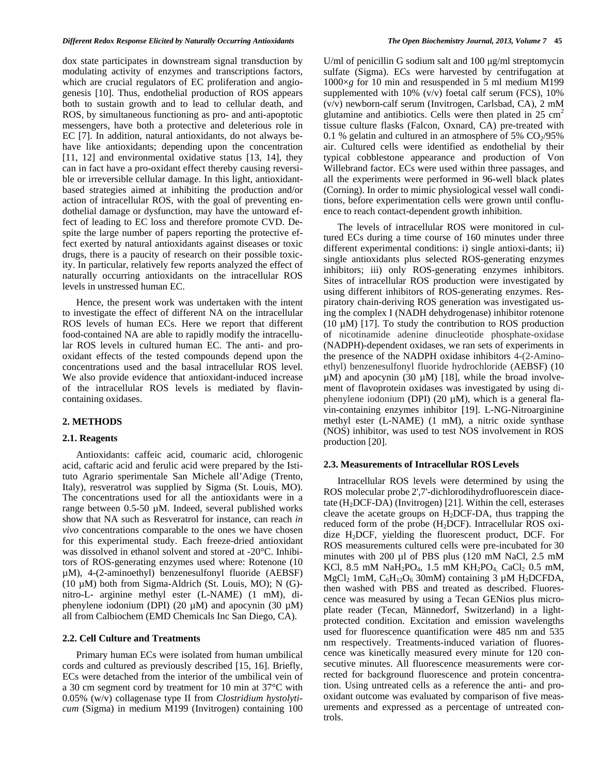dox state participates in downstream signal transduction by modulating activity of enzymes and transcriptions factors, which are crucial regulators of EC proliferation and angiogenesis [10]. Thus, endothelial production of ROS appears both to sustain growth and to lead to cellular death, and ROS, by simultaneous functioning as pro- and anti-apoptotic messengers, have both a protective and deleterious role in EC [7]. In addition, natural antioxidants, do not always behave like antioxidants; depending upon the concentration [11, 12] and environmental oxidative status [13, 14], they can in fact have a pro-oxidant effect thereby causing reversible or irreversible cellular damage. In this light, antioxidantbased strategies aimed at inhibiting the production and/or action of intracellular ROS, with the goal of preventing endothelial damage or dysfunction, may have the untoward effect of leading to EC loss and therefore promote CVD. Despite the large number of papers reporting the protective effect exerted by natural antioxidants against diseases or toxic drugs, there is a paucity of research on their possible toxicity. In particular, relatively few reports analyzed the effect of naturally occurring antioxidants on the intracellular ROS levels in unstressed human EC.

 Hence, the present work was undertaken with the intent to investigate the effect of different NA on the intracellular ROS levels of human ECs. Here we report that different food-contained NA are able to rapidly modify the intracellular ROS levels in cultured human EC. The anti- and prooxidant effects of the tested compounds depend upon the concentrations used and the basal intracellular ROS level. We also provide evidence that antioxidant-induced increase of the intracellular ROS levels is mediated by flavincontaining oxidases.

# **2. METHODS**

#### **2.1. Reagents**

 Antioxidants: caffeic acid, coumaric acid, chlorogenic acid, caftaric acid and ferulic acid were prepared by the Istituto Agrario sperimentale San Michele all'Adige (Trento, Italy), resveratrol was supplied by Sigma (St. Louis, MO). The concentrations used for all the antioxidants were in a range between 0.5-50 µM. Indeed, several published works show that NA such as Resveratrol for instance, can reach *in vivo* concentrations comparable to the ones we have chosen for this experimental study. Each freeze-dried antioxidant was dissolved in ethanol solvent and stored at -20°C. Inhibitors of ROS-generating enzymes used where: Rotenone (10 µM), 4-(2-aminoethyl) benzenesulfonyl fluoride (AEBSF) (10 µM) both from Sigma-Aldrich (St. Louis, MO); N (G) nitro-L- arginine methyl ester (L-NAME) (1 mM), diphenylene iodonium (DPI) (20  $\mu$ M) and apocynin (30  $\mu$ M) all from Calbiochem (EMD Chemicals Inc San Diego, CA).

#### **2.2. Cell Culture and Treatments**

 Primary human ECs were isolated from human umbilical cords and cultured as previously described [15, 16]. Briefly, ECs were detached from the interior of the umbilical vein of a 30 cm segment cord by treatment for 10 min at 37°C with 0.05% (w/v) collagenase type II from *Clostridium hystolyticum* (Sigma) in medium M199 (Invitrogen) containing 100

U/ml of penicillin G sodium salt and 100 μg/ml streptomycin sulfate (Sigma). ECs were harvested by centrifugation at 1000×*g* for 10 min and resuspended in 5 ml medium M199 supplemented with  $10\%$  (v/v) foetal calf serum (FCS),  $10\%$ (v/v) newborn-calf serum (Invitrogen, Carlsbad, CA), 2 mM glutamine and antibiotics. Cells were then plated in  $25 \text{ cm}^2$ tissue culture flasks (Falcon, Oxnard, CA) pre-treated with 0.1 % gelatin and cultured in an atmosphere of 5%  $CO<sub>2</sub>/95%$ air. Cultured cells were identified as endothelial by their typical cobblestone appearance and production of Von Willebrand factor. ECs were used within three passages, and all the experiments were performed in 96-well black plates (Corning). In order to mimic physiological vessel wall conditions, before experimentation cells were grown until confluence to reach contact-dependent growth inhibition.

 The levels of intracellular ROS were monitored in cultured ECs during a time course of 160 minutes under three different experimental conditions: i) single antioxi-dants; ii) single antioxidants plus selected ROS-generating enzymes inhibitors; iii) only ROS-generating enzymes inhibitors. Sites of intracellular ROS production were investigated by using different inhibitors of ROS-generating enzymes. Respiratory chain-deriving ROS generation was investigated using the complex I (NADH dehydrogenase) inhibitor rotenone (10  $\mu$ M) [17]. To study the contribution to ROS production of nicotinamide adenine dinucleotide phosphate-oxidase (NADPH)-dependent oxidases, we ran sets of experiments in the presence of the NADPH oxidase inhibitors 4-(2-Aminoethyl) benzenesulfonyl fluoride hydrochloride (AEBSF) (10  $\mu$ M) and apocynin (30  $\mu$ M) [18], while the broad involvement of flavoprotein oxidases was investigated by using diphenylene iodonium (DPI) (20 µM), which is a general flavin-containing enzymes inhibitor [19]. L-NG-Nitroarginine methyl ester (L-NAME) (1 mM), a nitric oxide synthase (NOS) inhibitor, was used to test NOS involvement in ROS production [20].

#### **2.3. Measurements of Intracellular ROSLevels**

 Intracellular ROS levels were determined by using the ROS molecular probe 2',7'-dichlorodihydrofluorescein diacetate  $(H<sub>2</sub>DCF-DA)$  (Invitrogen) [21]. Within the cell, esterases cleave the acetate groups on  $H<sub>2</sub>DCF-DA$ , thus trapping the reduced form of the probe (H2DCF). Intracellular ROS oxidize H2DCF, yielding the fluorescent product, DCF. For ROS measurements cultured cells were pre-incubated for 30 minutes with 200 µl of PBS plus (120 mM NaCl, 2.5 mM KCl, 8.5 mM NaH<sub>2</sub>PO<sub>4</sub>, 1.5 mM KH<sub>2</sub>PO<sub>4</sub> CaCl<sub>2</sub> 0.5 mM, MgCl<sub>2</sub> 1mM,  $C_6H_{12}O_6$  30mM) containing 3  $\mu$ M H<sub>2</sub>DCFDA, then washed with PBS and treated as described. Fluorescence was measured by using a Tecan GENios plus microplate reader (Tecan, Männedorf, Switzerland) in a lightprotected condition. Excitation and emission wavelengths used for fluorescence quantification were 485 nm and 535 nm respectively. Treatments-induced variation of fluorescence was kinetically measured every minute for 120 consecutive minutes. All fluorescence measurements were corrected for background fluorescence and protein concentration. Using untreated cells as a reference the anti- and prooxidant outcome was evaluated by comparison of five measurements and expressed as a percentage of untreated controls.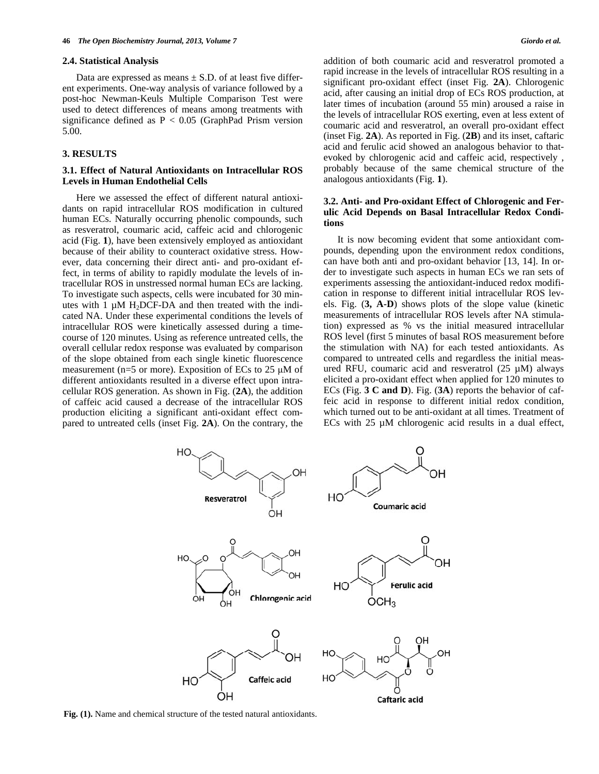#### **2.4. Statistical Analysis**

Data are expressed as means  $\pm$  S.D. of at least five different experiments. One-way analysis of variance followed by a post-hoc Newman-Keuls Multiple Comparison Test were used to detect differences of means among treatments with significance defined as  $P < 0.05$  (GraphPad Prism version 5.00.

# **3. RESULTS**

# **3.1. Effect of Natural Antioxidants on Intracellular ROS Levels in Human Endothelial Cells**

 Here we assessed the effect of different natural antioxidants on rapid intracellular ROS modification in cultured human ECs. Naturally occurring phenolic compounds, such as resveratrol, coumaric acid, caffeic acid and chlorogenic acid (Fig. **1**), have been extensively employed as antioxidant because of their ability to counteract oxidative stress. However, data concerning their direct anti- and pro-oxidant effect, in terms of ability to rapidly modulate the levels of intracellular ROS in unstressed normal human ECs are lacking. To investigate such aspects, cells were incubated for 30 minutes with 1  $\mu$ M H<sub>2</sub>DCF-DA and then treated with the indicated NA. Under these experimental conditions the levels of intracellular ROS were kinetically assessed during a timecourse of 120 minutes. Using as reference untreated cells, the overall cellular redox response was evaluated by comparison of the slope obtained from each single kinetic fluorescence measurement ( $n=5$  or more). Exposition of ECs to 25  $\mu$ M of different antioxidants resulted in a diverse effect upon intracellular ROS generation. As shown in Fig. (**2A**), the addition of caffeic acid caused a decrease of the intracellular ROS production eliciting a significant anti-oxidant effect compared to untreated cells (inset Fig. **2A**). On the contrary, the addition of both coumaric acid and resveratrol promoted a rapid increase in the levels of intracellular ROS resulting in a significant pro-oxidant effect (inset Fig. **2A**). Chlorogenic acid, after causing an initial drop of ECs ROS production, at later times of incubation (around 55 min) aroused a raise in the levels of intracellular ROS exerting, even at less extent of coumaric acid and resveratrol, an overall pro-oxidant effect (inset Fig. **2A**). As reported in Fig. (**2B**) and its inset, caftaric acid and ferulic acid showed an analogous behavior to thatevoked by chlorogenic acid and caffeic acid, respectively , probably because of the same chemical structure of the analogous antioxidants (Fig. **1**).

# **3.2. Anti- and Pro-oxidant Effect of Chlorogenic and Ferulic Acid Depends on Basal Intracellular Redox Conditions**

 It is now becoming evident that some antioxidant compounds, depending upon the environment redox conditions, can have both anti and pro-oxidant behavior [13, 14]. In order to investigate such aspects in human ECs we ran sets of experiments assessing the antioxidant-induced redox modification in response to different initial intracellular ROS levels. Fig. (**3, A-D**) shows plots of the slope value (kinetic measurements of intracellular ROS levels after NA stimulation) expressed as % vs the initial measured intracellular ROS level (first 5 minutes of basal ROS measurement before the stimulation with NA) for each tested antioxidants. As compared to untreated cells and regardless the initial measured RFU, coumaric acid and resveratrol (25 µM) always elicited a pro-oxidant effect when applied for 120 minutes to ECs (Fig. **3 C and D**). Fig. (**3A**) reports the behavior of caffeic acid in response to different initial redox condition, which turned out to be anti-oxidant at all times. Treatment of ECs with 25 µM chlorogenic acid results in a dual effect,



**Fig. (1).** Name and chemical structure of the tested natural antioxidants.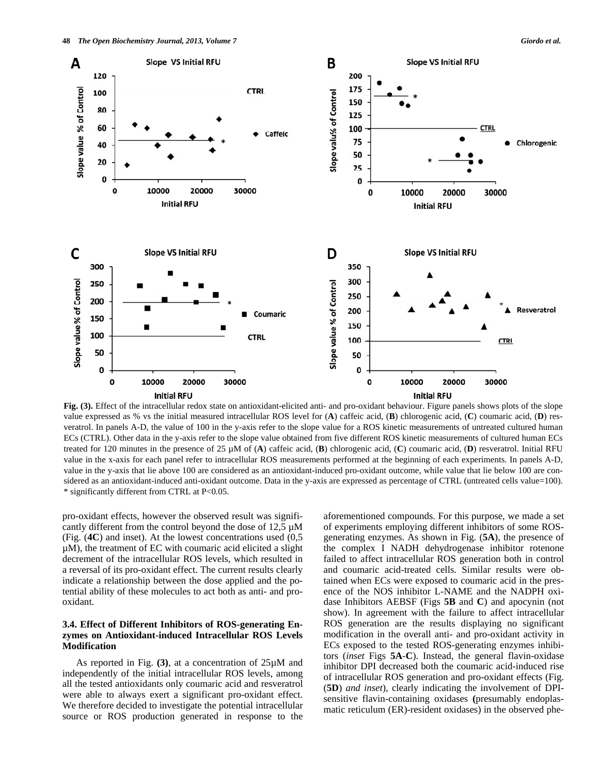

**Fig. (3).** Effect of the intracellular redox state on antioxidant-elicited anti- and pro-oxidant behaviour. Figure panels shows plots of the slope value expressed as % vs the initial measured intracellular ROS level for (**A**) caffeic acid, (**B**) chlorogenic acid, (**C**) coumaric acid, (**D**) resveratrol. In panels A-D, the value of 100 in the y-axis refer to the slope value for a ROS kinetic measurements of untreated cultured human ECs (CTRL). Other data in the y-axis refer to the slope value obtained from five different ROS kinetic measurements of cultured human ECs treated for 120 minutes in the presence of 25 µM of (**A**) caffeic acid, (**B**) chlorogenic acid, (**C**) coumaric acid, (**D**) resveratrol. Initial RFU value in the x-axis for each panel refer to intracellular ROS measurements performed at the beginning of each experiments. In panels A-D, value in the y-axis that lie above 100 are considered as an antioxidant-induced pro-oxidant outcome, while value that lie below 100 are considered as an antioxidant-induced anti-oxidant outcome. Data in the y-axis are expressed as percentage of CTRL (untreated cells value=100). \* significantly different from CTRL at P<0.05.

pro-oxidant effects, however the observed result was significantly different from the control beyond the dose of  $12.5 \mu M$ (Fig. (**4C**) and inset). At the lowest concentrations used (0,5  $\mu$ M), the treatment of EC with coumaric acid elicited a slight decrement of the intracellular ROS levels, which resulted in a reversal of its pro-oxidant effect. The current results clearly indicate a relationship between the dose applied and the potential ability of these molecules to act both as anti- and prooxidant.

# **3.4. Effect of Different Inhibitors of ROS-generating Enzymes on Antioxidant-induced Intracellular ROS Levels Modification**

 As reported in Fig. **(3)**, at a concentration of 25µM and independently of the initial intracellular ROS levels, among all the tested antioxidants only coumaric acid and resveratrol were able to always exert a significant pro-oxidant effect. We therefore decided to investigate the potential intracellular source or ROS production generated in response to the aforementioned compounds. For this purpose, we made a set of experiments employing different inhibitors of some ROSgenerating enzymes. As shown in Fig. (**5A**), the presence of the complex I NADH dehydrogenase inhibitor rotenone failed to affect intracellular ROS generation both in control and coumaric acid-treated cells. Similar results were obtained when ECs were exposed to coumaric acid in the presence of the NOS inhibitor L-NAME and the NADPH oxidase Inhibitors AEBSF (Figs **5B** and **C**) and apocynin (not show). In agreement with the failure to affect intracellular ROS generation are the results displaying no significant modification in the overall anti- and pro-oxidant activity in ECs exposed to the tested ROS-generating enzymes inhibitors (*inset* Figs **5A**-**C**). Instead, the general flavin-oxidase inhibitor DPI decreased both the coumaric acid-induced rise of intracellular ROS generation and pro-oxidant effects (Fig. (**5D**) *and inset*), clearly indicating the involvement of DPIsensitive flavin-containing oxidases **(**presumably endoplasmatic reticulum (ER)-resident oxidases) in the observed phe-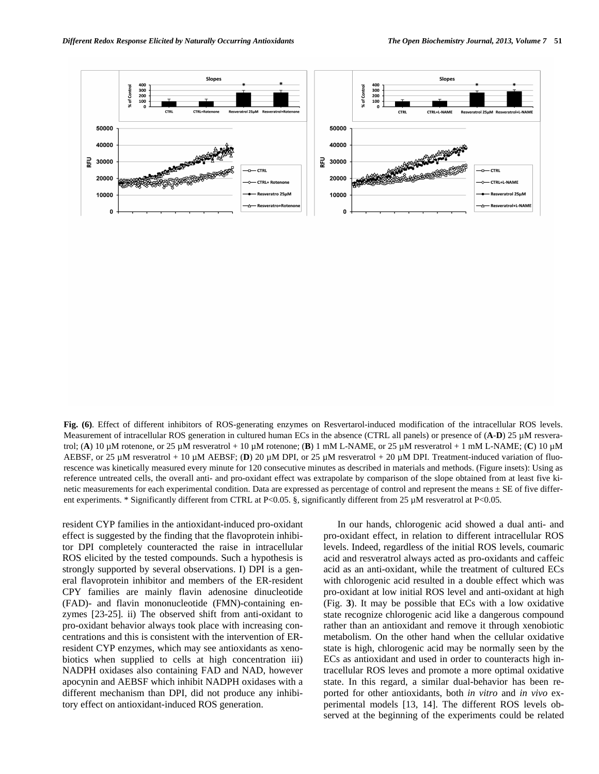**Fig. (6)**. Effect of different inhibitors of ROS-generating enzymes on Resvertarol-induced modification of the intracellular ROS levels. Measurement of intracellular ROS generation in cultured human ECs in the absence (CTRL all panels) or presence of (**A**-**D**) 25 µM resveratrol; (**A**) 10 µM rotenone, or 25 µM resveratrol + 10 µM rotenone; (**B**) 1 mM L-NAME, or 25 µM resveratrol + 1 mM L-NAME; (**C**) 10 µM AEBSF, or 25 μM resveratrol + 10 μM AEBSF; (D) 20 μM DPI, or 25 μM resveratrol + 20 μM DPI. Treatment-induced variation of fluorescence was kinetically measured every minute for 120 consecutive minutes as described in materials and methods. (Figure insets): Using as reference untreated cells, the overall anti- and pro-oxidant effect was extrapolate by comparison of the slope obtained from at least five kinetic measurements for each experimental condition. Data are expressed as percentage of control and represent the means  $\pm$  SE of five different experiments. \* Significantly different from CTRL at P<0.05. §, significantly different from 25 µM resveratrol at P<0.05.

resident CYP families in the antioxidant-induced pro-oxidant effect is suggested by the finding that the flavoprotein inhibitor DPI completely counteracted the raise in intracellular ROS elicited by the tested compounds. Such a hypothesis is strongly supported by several observations. I) DPI is a general flavoprotein inhibitor and members of the ER-resident CPY families are mainly flavin adenosine dinucleotide (FAD)- and flavin mononucleotide (FMN)-containing enzymes [23-25]. ii) The observed shift from anti-oxidant to pro-oxidant behavior always took place with increasing concentrations and this is consistent with the intervention of ERresident CYP enzymes, which may see antioxidants as xenobiotics when supplied to cells at high concentration iii) NADPH oxidases also containing FAD and NAD, however apocynin and AEBSF which inhibit NADPH oxidases with a different mechanism than DPI, did not produce any inhibitory effect on antioxidant-induced ROS generation.

 In our hands, chlorogenic acid showed a dual anti- and pro-oxidant effect, in relation to different intracellular ROS levels. Indeed, regardless of the initial ROS levels, coumaric acid and resveratrol always acted as pro-oxidants and caffeic acid as an anti-oxidant, while the treatment of cultured ECs with chlorogenic acid resulted in a double effect which was pro-oxidant at low initial ROS level and anti-oxidant at high (Fig. **3**). It may be possible that ECs with a low oxidative state recognize chlorogenic acid like a dangerous compound rather than an antioxidant and remove it through xenobiotic metabolism. On the other hand when the cellular oxidative state is high, chlorogenic acid may be normally seen by the ECs as antioxidant and used in order to counteracts high intracellular ROS leves and promote a more optimal oxidative state. In this regard, a similar dual-behavior has been reported for other antioxidants, both *in vitro* and *in vivo* experimental models [13, 14]. The different ROS levels observed at the beginning of the experiments could be related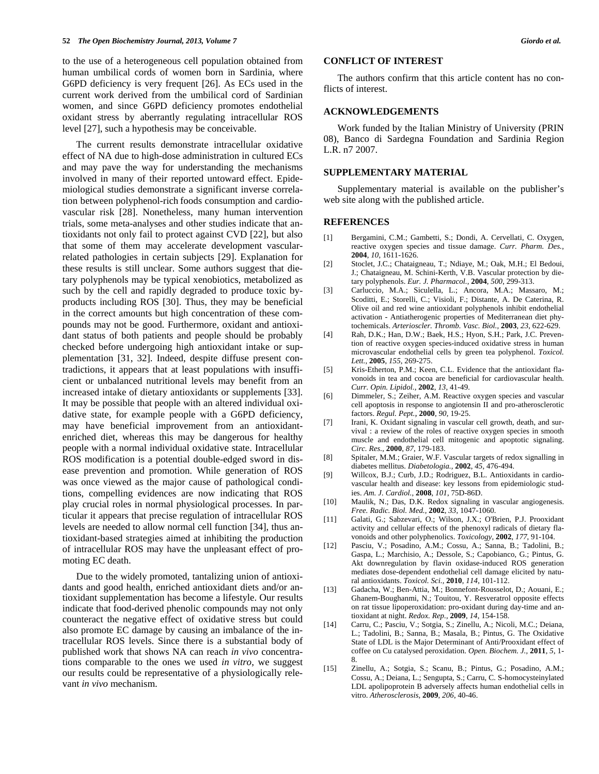to the use of a heterogeneous cell population obtained from human umbilical cords of women born in Sardinia, where G6PD deficiency is very frequent [26]. As ECs used in the current work derived from the umbilical cord of Sardinian women, and since G6PD deficiency promotes endothelial oxidant stress by aberrantly regulating intracellular ROS level [27], such a hypothesis may be conceivable.

 The current results demonstrate intracellular oxidative effect of NA due to high-dose administration in cultured ECs and may pave the way for understanding the mechanisms involved in many of their reported untoward effect. Epidemiological studies demonstrate a significant inverse correlation between polyphenol-rich foods consumption and cardiovascular risk [28]. Nonetheless, many human intervention trials, some meta-analyses and other studies indicate that antioxidants not only fail to protect against CVD [22], but also that some of them may accelerate development vascularrelated pathologies in certain subjects [29]. Explanation for these results is still unclear. Some authors suggest that dietary polyphenols may be typical xenobiotics, metabolized as such by the cell and rapidly degraded to produce toxic byproducts including ROS [30]. Thus, they may be beneficial in the correct amounts but high concentration of these compounds may not be good. Furthermore, oxidant and antioxidant status of both patients and people should be probably checked before undergoing high antioxidant intake or supplementation [31, 32]. Indeed, despite diffuse present contradictions, it appears that at least populations with insufficient or unbalanced nutritional levels may benefit from an increased intake of dietary antioxidants or supplements [33]. It may be possible that people with an altered individual oxidative state, for example people with a G6PD deficiency, may have beneficial improvement from an antioxidantenriched diet, whereas this may be dangerous for healthy people with a normal individual oxidative state. Intracellular ROS modification is a potential double-edged sword in disease prevention and promotion. While generation of ROS was once viewed as the major cause of pathological conditions, compelling evidences are now indicating that ROS play crucial roles in normal physiological processes. In particular it appears that precise regulation of intracellular ROS levels are needed to allow normal cell function [34], thus antioxidant-based strategies aimed at inhibiting the production of intracellular ROS may have the unpleasant effect of promoting EC death.

 Due to the widely promoted, tantalizing union of antioxidants and good health, enriched antioxidant diets and/or antioxidant supplementation has become a lifestyle. Our results indicate that food-derived phenolic compounds may not only counteract the negative effect of oxidative stress but could also promote EC damage by causing an imbalance of the intracellular ROS levels. Since there is a substantial body of published work that shows NA can reach *in vivo* concentrations comparable to the ones we used *in vitro*, we suggest our results could be representative of a physiologically relevant *in vivo* mechanism.

#### **CONFLICT OF INTEREST**

 The authors confirm that this article content has no conflicts of interest.

# **ACKNOWLEDGEMENTS**

 Work funded by the Italian Ministry of University (PRIN 08), Banco di Sardegna Foundation and Sardinia Region L.R. n7 2007.

#### **SUPPLEMENTARY MATERIAL**

 Supplementary material is available on the publisher's web site along with the published article.

#### **REFERENCES**

- [1] Bergamini, C.M.; Gambetti, S.; Dondi, A. Cervellati, C. Oxygen, reactive oxygen species and tissue damage. *Curr. Pharm. Des.,* **2004**, *10*, 1611-1626.
- [2] Stoclet, J.C.; Chataigneau, T.; Ndiaye, M.; Oak, M.H.; El Bedoui, J.; Chataigneau, M. Schini-Kerth, V.B. Vascular protection by dietary polyphenols. *Eur. J. Pharmacol.,* **2004**, *500*, 299-313.
- [3] Carluccio, M.A.; Siculella, L.; Ancora, M.A.; Massaro, M.; Scoditti, E.; Storelli, C.; Visioli, F.; Distante, A. De Caterina, R. Olive oil and red wine antioxidant polyphenols inhibit endothelial activation - Antiatherogenic properties of Mediterranean diet phytochemicals. *Arterioscler. Thromb. Vasc. Biol.,* **2003**, *23*, 622-629.
- [4] Rah, D.K.; Han, D.W.; Baek, H.S.; Hyon, S.H.; Park, J.C. Prevention of reactive oxygen species-induced oxidative stress in human microvascular endothelial cells by green tea polyphenol. *Toxicol. Lett.,* **2005**, *155*, 269-275.
- [5] Kris-Etherton, P.M.; Keen, C.L. Evidence that the antioxidant flavonoids in tea and cocoa are beneficial for cardiovascular health. *Curr. Opin. Lipidol.,* **2002**, *13*, 41-49.
- [6] Dimmeler, S.; Zeiher, A.M. Reactive oxygen species and vascular cell apoptosis in response to angiotensin II and pro-atherosclerotic factors. *Regul. Pept.,* **2000**, *90*, 19-25.
- [7] Irani, K. Oxidant signaling in vascular cell growth, death, and survival : a review of the roles of reactive oxygen species in smooth muscle and endothelial cell mitogenic and apoptotic signaling. *Circ. Res.,* **2000**, *87*, 179-183.
- [8] Spitaler, M.M.; Graier, W.F. Vascular targets of redox signalling in diabetes mellitus. *Diabetologia.,* **2002**, *45*, 476-494.
- [9] Willcox, B.J.; Curb, J.D.; Rodriguez, B.L. Antioxidants in cardiovascular health and disease: key lessons from epidemiologic studies. *Am. J. Cardiol.,* **2008**, *101*, 75D-86D.
- [10] Maulik, N.; Das, D.K. Redox signaling in vascular angiogenesis. *Free. Radic. Biol. Med.,* **2002**, *33*, 1047-1060.
- [11] Galati, G.; Sabzevari, O.; Wilson, J.X.; O'Brien, P.J. Prooxidant activity and cellular effects of the phenoxyl radicals of dietary flavonoids and other polyphenolics. *Toxicology,* **2002**, *177*, 91-104.
- [12] Pasciu, V.; Posadino, A.M.; Cossu, A.; Sanna, B.; Tadolini, B.; Gaspa, L.; Marchisio, A.; Dessole, S.; Capobianco, G.; Pintus, G. Akt downregulation by flavin oxidase-induced ROS generation mediates dose-dependent endothelial cell damage elicited by natural antioxidants. *Toxicol. Sci.,* **2010**, *114*, 101-112.
- [13] Gadacha, W.; Ben-Attia, M.; Bonnefont-Rousselot, D.; Aouani, E.; Ghanem-Boughanmi, N.; Touitou, Y. Resveratrol opposite effects on rat tissue lipoperoxidation: pro-oxidant during day-time and antioxidant at night. *Redox. Rep.,* **2009**, *14*, 154-158.
- [14] Carru, C.; Pasciu, V.; Sotgia, S.; Zinellu, A.; Nicoli, M.C.; Deiana, L.; Tadolini, B.; Sanna, B.; Masala, B.; Pintus, G. The Oxidative State of LDL is the Major Determinant of Anti/Prooxidant effect of coffee on Cu catalysed peroxidation. *Open. Biochem. J.,* **2011**, *5*, 1- 8.
- [15] Zinellu, A.; Sotgia, S.; Scanu, B.; Pintus, G.; Posadino, A.M.; Cossu, A.; Deiana, L.; Sengupta, S.; Carru, C. S-homocysteinylated LDL apolipoprotein B adversely affects human endothelial cells in vitro. *Atherosclerosis,* **2009**, *206*, 40-46.